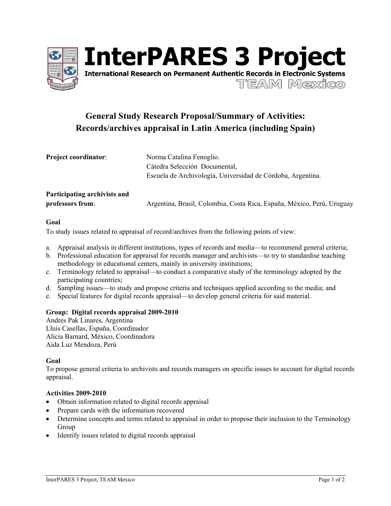

**InterPARES 3 Project International Research on Permanent Authentic Records in Electronic Systems** 

TEAM Mexico

# **General Study Research Proposal/Summary of Activities: Records/archives appraisal in Latin America (including Spain)**

| <b>Project coordinator:</b>  | Norma Catalina Fenoglio.                                               |
|------------------------------|------------------------------------------------------------------------|
|                              | Cátedra Selección Documental,                                          |
|                              | Escuela de Archivología, Universidad de Córdoba, Argentina.            |
| Participating archivists and |                                                                        |
| professors from:             | Argentina, Brasil, Colombia, Costa Rica, España, México, Perú, Uruguay |

### **Goal**

To study issues related to appraisal of record/archives from the following points of view:

- a. Appraisal analysis in different institutions, types of records and media—to recommend general criteria;
- b. Professional education for appraisal for records manager and archivists—to try to standardise teaching methodology in educational centers, mainly in university institutions;
- c. Terminology related to appraisal—to conduct a comparative study of the terminology adopted by the participating countries;
- d. Sampling issues—to study and propose criteria and techniques applied according to the media; and
- e. Special features for digital records appraisal—to develop general criteria for said material.

### **Group: Digital records appraisal 2009-2010**

Andres Pak Linares, Argentina Lluis Casellas, España, Coordinador Alicia Barnard, México, Coordinadora Aida Luz Mendoza, Perú

### **Goal**

To propose general criteria to archivists and records managers on specific issues to account for digital records appraisal.

### **Activities 2009-2010**

- Obtain information related to digital records appraisal
- Prepare cards with the information recovered
- Determine concepts and terms related to appraisal in order to propose their inclusion to the Terminology Group
- Identify issues related to digital records appraisal